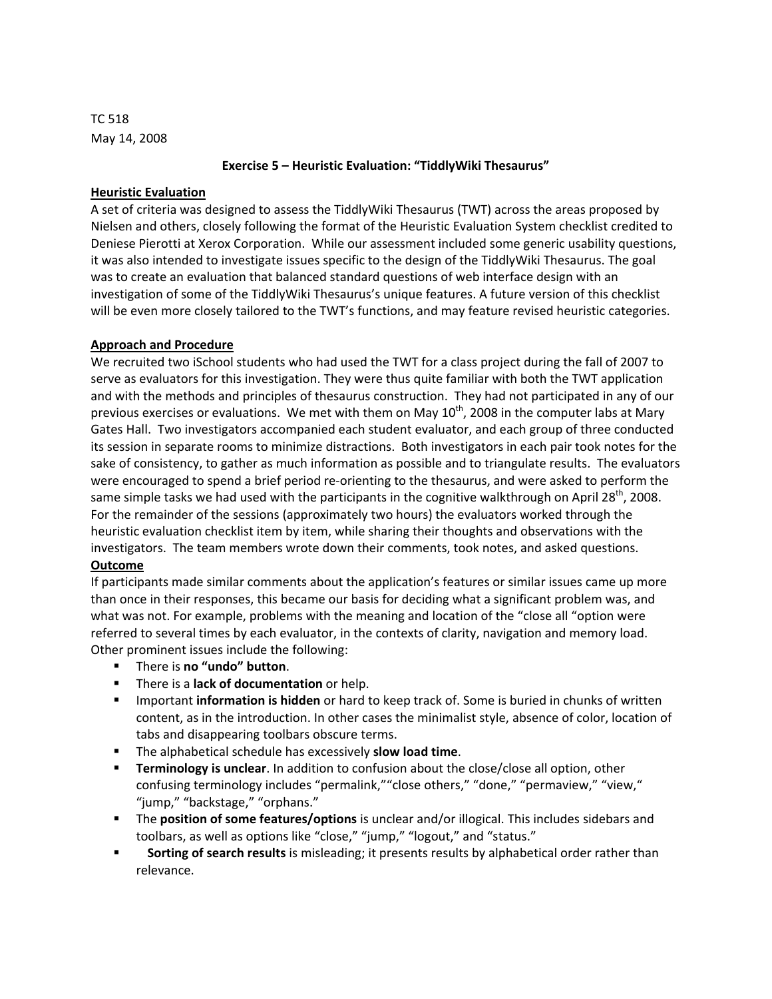TC 518 May 14, 2008

### **Exercise 5 – Heuristic Evaluation: "TiddlyWiki Thesaurus"**

### **Heuristic Evaluation**

A set of criteria was designed to assess the TiddlyWiki Thesaurus (TWT) across the areas proposed by Nielsen and others, closely following the format of the Heuristic Evaluation System checklist credited to Deniese Pierotti at Xerox Corporation. While our assessment included some generic usability questions, it was also intended to investigate issues specific to the design of the TiddlyWiki Thesaurus. The goal was to create an evaluation that balanced standard questions of web interface design with an investigation of some of the TiddlyWiki Thesaurus's unique features. A future version of this checklist will be even more closely tailored to the TWT's functions, and may feature revised heuristic categories.

### **Approach and Procedure**

We recruited two iSchool students who had used the TWT for a class project during the fall of 2007 to serve as evaluators for this investigation. They were thus quite familiar with both the TWT application and with the methods and principles of thesaurus construction. They had not participated in any of our previous exercises or evaluations. We met with them on May  $10^{th}$ , 2008 in the computer labs at Mary Gates Hall. Two investigators accompanied each student evaluator, and each group of three conducted its session in separate rooms to minimize distractions. Both investigators in each pair took notes for the sake of consistency, to gather as much information as possible and to triangulate results. The evaluators were encouraged to spend a brief period re-orienting to the thesaurus, and were asked to perform the same simple tasks we had used with the participants in the cognitive walkthrough on April 28<sup>th</sup>, 2008. For the remainder of the sessions (approximately two hours) the evaluators worked through the heuristic evaluation checklist item by item, while sharing their thoughts and observations with the investigators. The team members wrote down their comments, took notes, and asked questions. **Outcome**

If participants made similar comments about the application's features or similar issues came up more than once in their responses, this became our basis for deciding what a significant problem was, and what was not. For example, problems with the meaning and location of the "close all "option were referred to several times by each evaluator, in the contexts of clarity, navigation and memory load. Other prominent issues include the following:

- There is **no "undo" button**.
- There is a **lack of documentation** or help.
- Important **information is hidden** or hard to keep track of. Some is buried in chunks of written content, as in the introduction. In other cases the minimalist style, absence of color, location of tabs and disappearing toolbars obscure terms.
- The alphabetical schedule has excessively **slow load time**.
- **Terminology is unclear**. In addition to confusion about the close/close all option, other confusing terminology includes "permalink,""close others," "done," "permaview," "view," "jump," "backstage," "orphans."
- The **position of some features/options** is unclear and/or illogical. This includes sidebars and toolbars, as well as options like "close," "jump," "logout," and "status."
- **Sorting of search results** is misleading; it presents results by alphabetical order rather than relevance.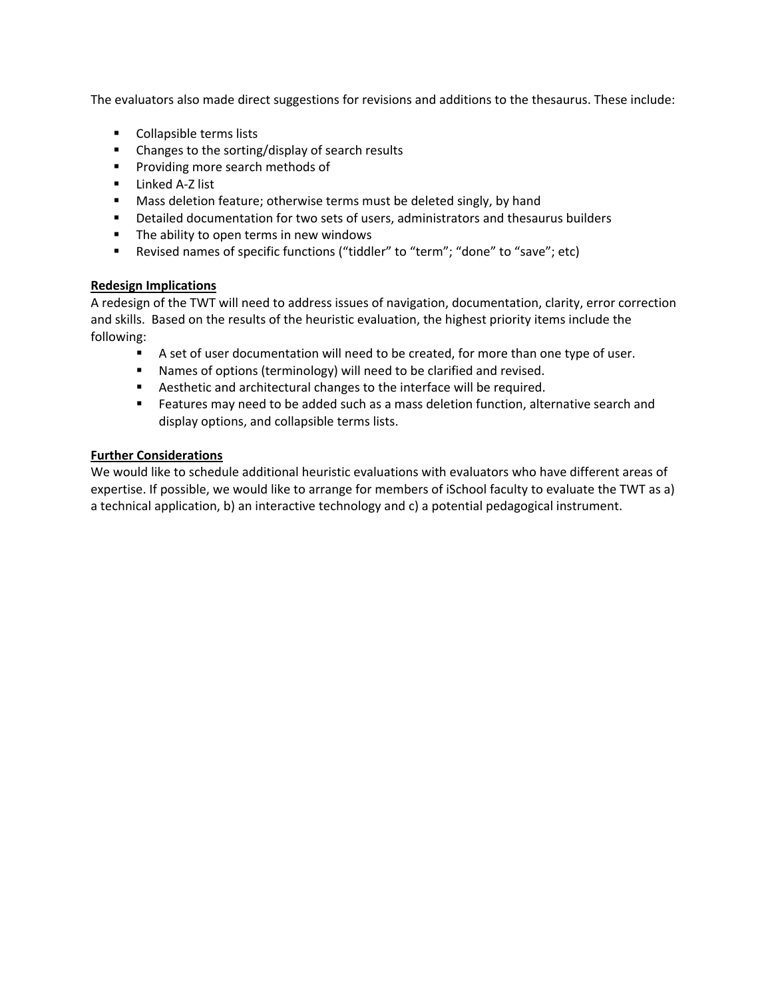The evaluators also made direct suggestions for revisions and additions to the thesaurus. These include:

- **Collapsible terms lists**
- Changes to the sorting/display of search results
- **Providing more search methods of**
- Linked A-Z list
- **Mass deletion feature; otherwise terms must be deleted singly, by hand**
- Detailed documentation for two sets of users, administrators and thesaurus builders
- The ability to open terms in new windows
- Revised names of specific functions ("tiddler" to "term"; "done" to "save"; etc)

# **Redesign Implications**

A redesign of the TWT will need to address issues of navigation, documentation, clarity, error correction and skills. Based on the results of the heuristic evaluation, the highest priority items include the following:

- A set of user documentation will need to be created, for more than one type of user.
- Names of options (terminology) will need to be clarified and revised.
- Aesthetic and architectural changes to the interface will be required.
- **Features may need to be added such as a mass deletion function, alternative search and** display options, and collapsible terms lists.

# **Further Considerations**

We would like to schedule additional heuristic evaluations with evaluators who have different areas of expertise. If possible, we would like to arrange for members of iSchool faculty to evaluate the TWT as a) a technical application, b) an interactive technology and c) a potential pedagogical instrument.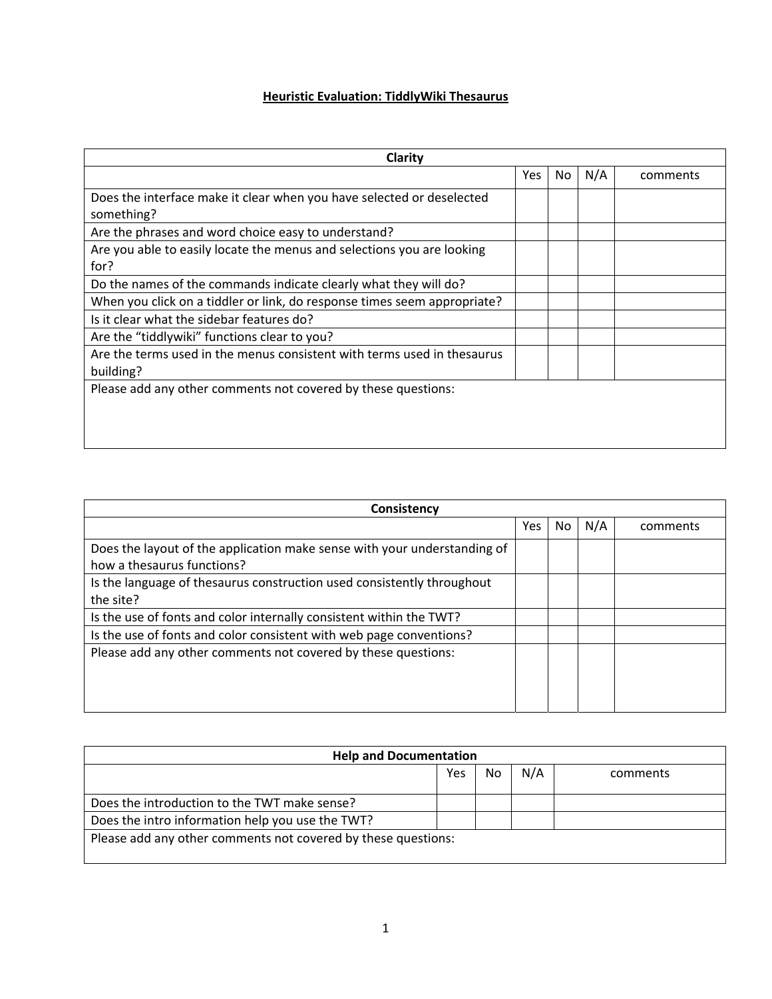# **Heuristic Evaluation: TiddlyWiki Thesaurus**

| Clarity                                                                              |     |     |     |          |
|--------------------------------------------------------------------------------------|-----|-----|-----|----------|
|                                                                                      | Yes | No. | N/A | comments |
| Does the interface make it clear when you have selected or deselected<br>something?  |     |     |     |          |
| Are the phrases and word choice easy to understand?                                  |     |     |     |          |
| Are you able to easily locate the menus and selections you are looking<br>for?       |     |     |     |          |
| Do the names of the commands indicate clearly what they will do?                     |     |     |     |          |
| When you click on a tiddler or link, do response times seem appropriate?             |     |     |     |          |
| Is it clear what the sidebar features do?                                            |     |     |     |          |
| Are the "tiddlywiki" functions clear to you?                                         |     |     |     |          |
| Are the terms used in the menus consistent with terms used in thesaurus<br>building? |     |     |     |          |
| Please add any other comments not covered by these questions:                        |     |     |     |          |

| Consistency                                                                                            |     |     |     |          |  |
|--------------------------------------------------------------------------------------------------------|-----|-----|-----|----------|--|
|                                                                                                        | Yes | No. | N/A | comments |  |
| Does the layout of the application make sense with your understanding of<br>how a thesaurus functions? |     |     |     |          |  |
| Is the language of thesaurus construction used consistently throughout<br>the site?                    |     |     |     |          |  |
| Is the use of fonts and color internally consistent within the TWT?                                    |     |     |     |          |  |
| Is the use of fonts and color consistent with web page conventions?                                    |     |     |     |          |  |
| Please add any other comments not covered by these questions:                                          |     |     |     |          |  |

| <b>Help and Documentation</b>                                 |            |     |     |          |  |  |  |  |
|---------------------------------------------------------------|------------|-----|-----|----------|--|--|--|--|
|                                                               | <b>Yes</b> | No. | N/A | comments |  |  |  |  |
|                                                               |            |     |     |          |  |  |  |  |
| Does the introduction to the TWT make sense?                  |            |     |     |          |  |  |  |  |
| Does the intro information help you use the TWT?              |            |     |     |          |  |  |  |  |
| Please add any other comments not covered by these questions: |            |     |     |          |  |  |  |  |
|                                                               |            |     |     |          |  |  |  |  |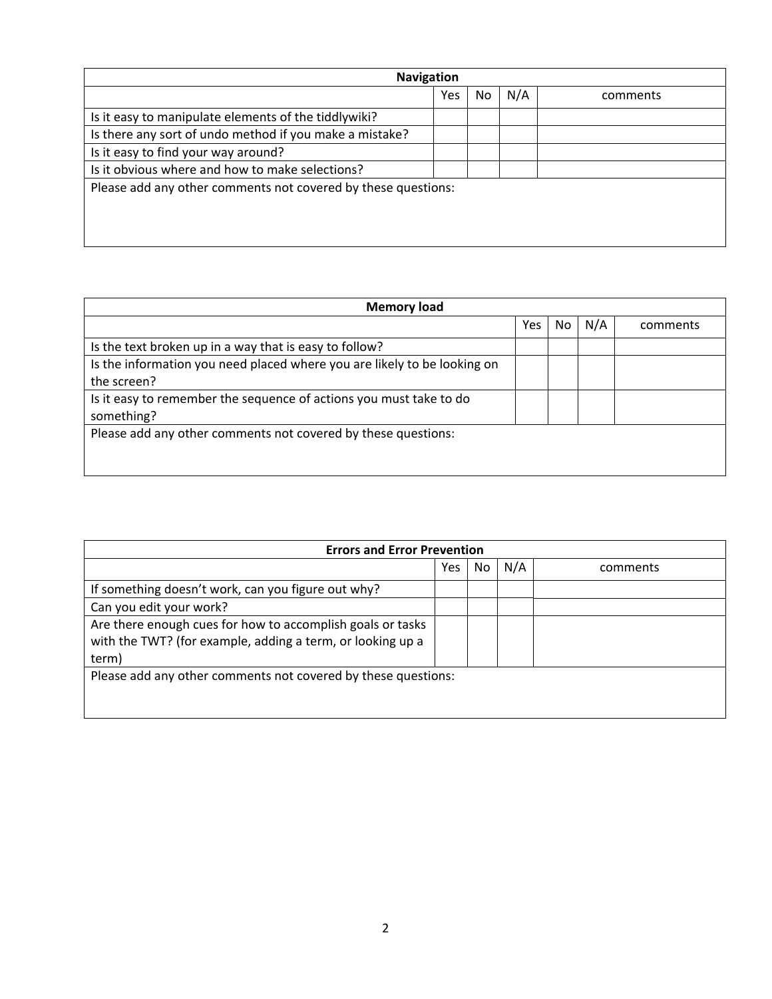| <b>Navigation</b>                                             |            |    |     |          |  |  |  |  |  |
|---------------------------------------------------------------|------------|----|-----|----------|--|--|--|--|--|
|                                                               | <b>Yes</b> | No | N/A | comments |  |  |  |  |  |
| Is it easy to manipulate elements of the tiddlywiki?          |            |    |     |          |  |  |  |  |  |
| Is there any sort of undo method if you make a mistake?       |            |    |     |          |  |  |  |  |  |
| Is it easy to find your way around?                           |            |    |     |          |  |  |  |  |  |
| Is it obvious where and how to make selections?               |            |    |     |          |  |  |  |  |  |
| Please add any other comments not covered by these questions: |            |    |     |          |  |  |  |  |  |
|                                                               |            |    |     |          |  |  |  |  |  |
|                                                               |            |    |     |          |  |  |  |  |  |
|                                                               |            |    |     |          |  |  |  |  |  |

| <b>Memory load</b>                                                       |            |    |     |          |  |
|--------------------------------------------------------------------------|------------|----|-----|----------|--|
|                                                                          | <b>Yes</b> | No | N/A | comments |  |
| Is the text broken up in a way that is easy to follow?                   |            |    |     |          |  |
| Is the information you need placed where you are likely to be looking on |            |    |     |          |  |
| the screen?                                                              |            |    |     |          |  |
| Is it easy to remember the sequence of actions you must take to do       |            |    |     |          |  |
| something?                                                               |            |    |     |          |  |
| Please add any other comments not covered by these questions:            |            |    |     |          |  |
|                                                                          |            |    |     |          |  |
|                                                                          |            |    |     |          |  |

| <b>Errors and Error Prevention</b>                            |     |     |     |          |  |  |  |  |
|---------------------------------------------------------------|-----|-----|-----|----------|--|--|--|--|
|                                                               | Yes | No. | N/A | comments |  |  |  |  |
| If something doesn't work, can you figure out why?            |     |     |     |          |  |  |  |  |
| Can you edit your work?                                       |     |     |     |          |  |  |  |  |
| Are there enough cues for how to accomplish goals or tasks    |     |     |     |          |  |  |  |  |
| with the TWT? (for example, adding a term, or looking up a    |     |     |     |          |  |  |  |  |
| term)                                                         |     |     |     |          |  |  |  |  |
| Please add any other comments not covered by these questions: |     |     |     |          |  |  |  |  |
|                                                               |     |     |     |          |  |  |  |  |
|                                                               |     |     |     |          |  |  |  |  |